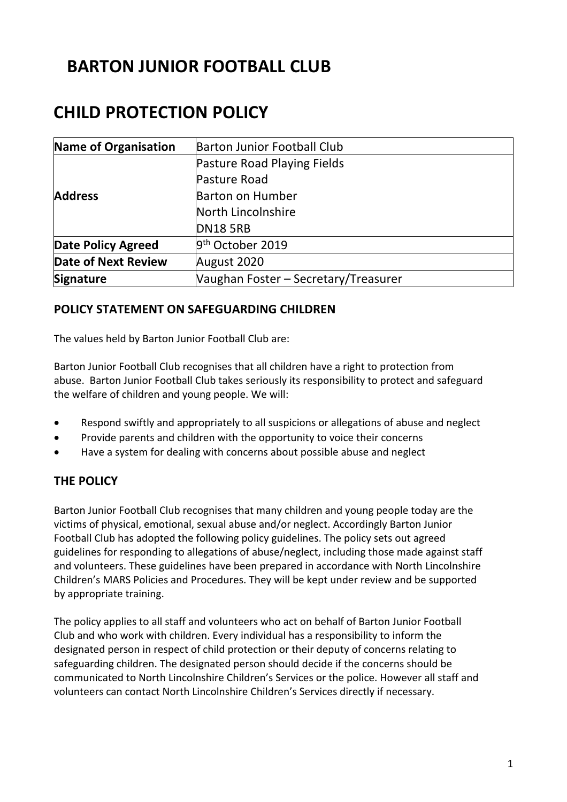# **BARTON JUNIOR FOOTBALL CLUB**

# **CHILD PROTECTION POLICY**

| <b>Name of Organisation</b> | <b>Barton Junior Football Club</b>   |  |
|-----------------------------|--------------------------------------|--|
| <b>Address</b>              | Pasture Road Playing Fields          |  |
|                             | Pasture Road                         |  |
|                             | <b>Barton on Humber</b>              |  |
|                             | North Lincolnshire                   |  |
|                             | <b>DN18 5RB</b>                      |  |
| <b>Date Policy Agreed</b>   | 9 <sup>th</sup> October 2019         |  |
| <b>Date of Next Review</b>  | August 2020                          |  |
| <b>Signature</b>            | Vaughan Foster - Secretary/Treasurer |  |

### **POLICY STATEMENT ON SAFEGUARDING CHILDREN**

The values held by Barton Junior Football Club are:

Barton Junior Football Club recognises that all children have a right to protection from abuse. Barton Junior Football Club takes seriously its responsibility to protect and safeguard the welfare of children and young people. We will:

- Respond swiftly and appropriately to all suspicions or allegations of abuse and neglect
- Provide parents and children with the opportunity to voice their concerns
- Have a system for dealing with concerns about possible abuse and neglect

## **THE POLICY**

Barton Junior Football Club recognises that many children and young people today are the victims of physical, emotional, sexual abuse and/or neglect. Accordingly Barton Junior Football Club has adopted the following policy guidelines. The policy sets out agreed guidelines for responding to allegations of abuse/neglect, including those made against staff and volunteers. These guidelines have been prepared in accordance with North Lincolnshire Children's MARS Policies and Procedures. They will be kept under review and be supported by appropriate training.

The policy applies to all staff and volunteers who act on behalf of Barton Junior Football Club and who work with children. Every individual has a responsibility to inform the designated person in respect of child protection or their deputy of concerns relating to safeguarding children. The designated person should decide if the concerns should be communicated to North Lincolnshire Children's Services or the police. However all staff and volunteers can contact North Lincolnshire Children's Services directly if necessary.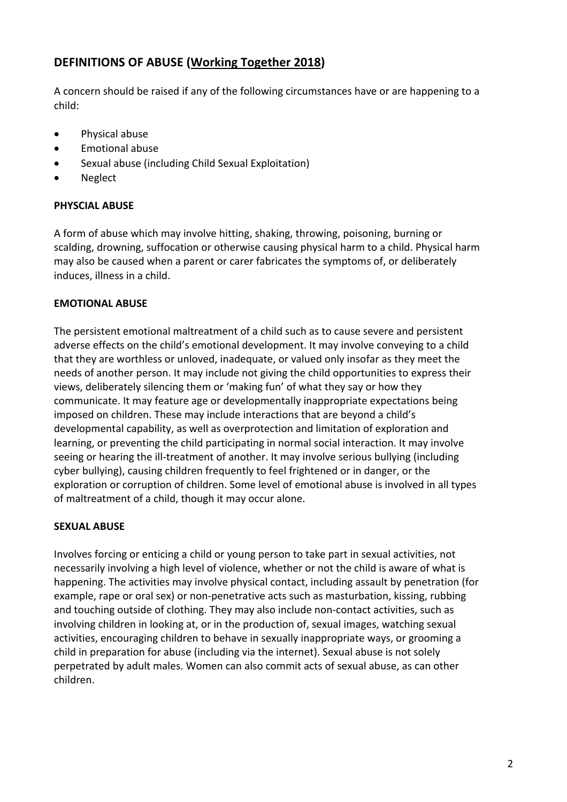# **DEFINITIONS OF ABUSE (Working Together 2018)**

A concern should be raised if any of the following circumstances have or are happening to a child:

- Physical abuse
- Emotional abuse
- Sexual abuse (including Child Sexual Exploitation)
- Neglect

#### **PHYSCIAL ABUSE**

A form of abuse which may involve hitting, shaking, throwing, poisoning, burning or scalding, drowning, suffocation or otherwise causing physical harm to a child. Physical harm may also be caused when a parent or carer fabricates the symptoms of, or deliberately induces, illness in a child.

#### **EMOTIONAL ABUSE**

The persistent emotional maltreatment of a child such as to cause severe and persistent adverse effects on the child's emotional development. It may involve conveying to a child that they are worthless or unloved, inadequate, or valued only insofar as they meet the needs of another person. It may include not giving the child opportunities to express their views, deliberately silencing them or 'making fun' of what they say or how they communicate. It may feature age or developmentally inappropriate expectations being imposed on children. These may include interactions that are beyond a child's developmental capability, as well as overprotection and limitation of exploration and learning, or preventing the child participating in normal social interaction. It may involve seeing or hearing the ill-treatment of another. It may involve serious bullying (including cyber bullying), causing children frequently to feel frightened or in danger, or the exploration or corruption of children. Some level of emotional abuse is involved in all types of maltreatment of a child, though it may occur alone.

#### **SEXUAL ABUSE**

Involves forcing or enticing a child or young person to take part in sexual activities, not necessarily involving a high level of violence, whether or not the child is aware of what is happening. The activities may involve physical contact, including assault by penetration (for example, rape or oral sex) or non-penetrative acts such as masturbation, kissing, rubbing and touching outside of clothing. They may also include non-contact activities, such as involving children in looking at, or in the production of, sexual images, watching sexual activities, encouraging children to behave in sexually inappropriate ways, or grooming a child in preparation for abuse (including via the internet). Sexual abuse is not solely perpetrated by adult males. Women can also commit acts of sexual abuse, as can other children.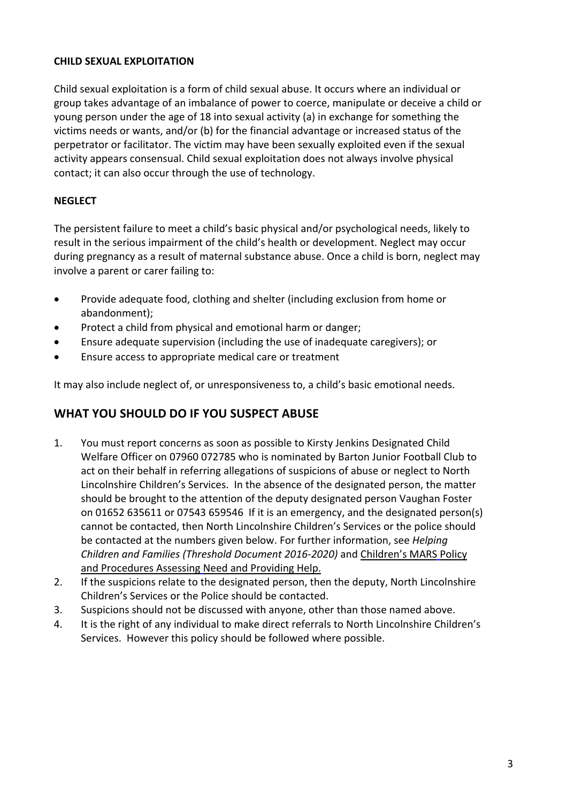#### **CHILD SEXUAL EXPLOITATION**

Child sexual exploitation is a form of child sexual abuse. It occurs where an individual or group takes advantage of an imbalance of power to coerce, manipulate or deceive a child or young person under the age of 18 into sexual activity (a) in exchange for something the victims needs or wants, and/or (b) for the financial advantage or increased status of the perpetrator or facilitator. The victim may have been sexually exploited even if the sexual activity appears consensual. Child sexual exploitation does not always involve physical contact; it can also occur through the use of technology.

## **NEGLECT**

The persistent failure to meet a child's basic physical and/or psychological needs, likely to result in the serious impairment of the child's health or development. Neglect may occur during pregnancy as a result of maternal substance abuse. Once a child is born, neglect may involve a parent or carer failing to:

- Provide adequate food, clothing and shelter (including exclusion from home or abandonment);
- Protect a child from physical and emotional harm or danger;
- Ensure adequate supervision (including the use of inadequate caregivers); or
- Ensure access to appropriate medical care or treatment

It may also include neglect of, or unresponsiveness to, a child's basic emotional needs.

# **WHAT YOU SHOULD DO IF YOU SUSPECT ABUSE**

- 1. You must report concerns as soon as possible to Kirsty Jenkins Designated Child Welfare Officer on 07960 072785 who is nominated by Barton Junior Football Club to act on their behalf in referring allegations of suspicions of abuse or neglect to North Lincolnshire Children's Services. In the absence of the designated person, the matter should be brought to the attention of the deputy designated person Vaughan Foster on 01652 635611 or 07543 659546 If it is an emergency, and the designated person(s) cannot be contacted, then North Lincolnshire Children's Services or the police should be contacted at the numbers given below. For further information, see *Helping Children and Families (Threshold Document 2016-2020)* and Children's MARS Policy and Procedures Assessing Need and Providing Help.
- 2. If the suspicions relate to the designated person, then the deputy, North Lincolnshire Children's Services or the Police should be contacted.
- 3. Suspicions should not be discussed with anyone, other than those named above.
- 4. It is the right of any individual to make direct referrals to North Lincolnshire Children's Services. However this policy should be followed where possible.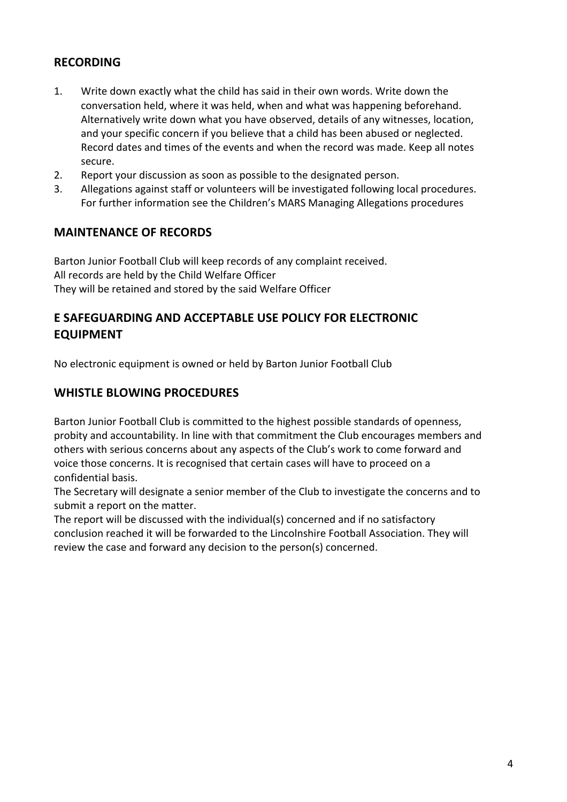# **RECORDING**

- 1. Write down exactly what the child has said in their own words. Write down the conversation held, where it was held, when and what was happening beforehand. Alternatively write down what you have observed, details of any witnesses, location, and your specific concern if you believe that a child has been abused or neglected. Record dates and times of the events and when the record was made. Keep all notes secure.
- 2. Report your discussion as soon as possible to the designated person.
- 3. Allegations against staff or volunteers will be investigated following local procedures. For further information see the Children's MARS Managing Allegations procedures

## **MAINTENANCE OF RECORDS**

Barton Junior Football Club will keep records of any complaint received. All records are held by the Child Welfare Officer They will be retained and stored by the said Welfare Officer

# **E SAFEGUARDING AND ACCEPTABLE USE POLICY FOR ELECTRONIC EQUIPMENT**

No electronic equipment is owned or held by Barton Junior Football Club

### **WHISTLE BLOWING PROCEDURES**

Barton Junior Football Club is committed to the highest possible standards of openness, probity and accountability. In line with that commitment the Club encourages members and others with serious concerns about any aspects of the Club's work to come forward and voice those concerns. It is recognised that certain cases will have to proceed on a confidential basis.

The Secretary will designate a senior member of the Club to investigate the concerns and to submit a report on the matter.

The report will be discussed with the individual(s) concerned and if no satisfactory conclusion reached it will be forwarded to the Lincolnshire Football Association. They will review the case and forward any decision to the person(s) concerned.